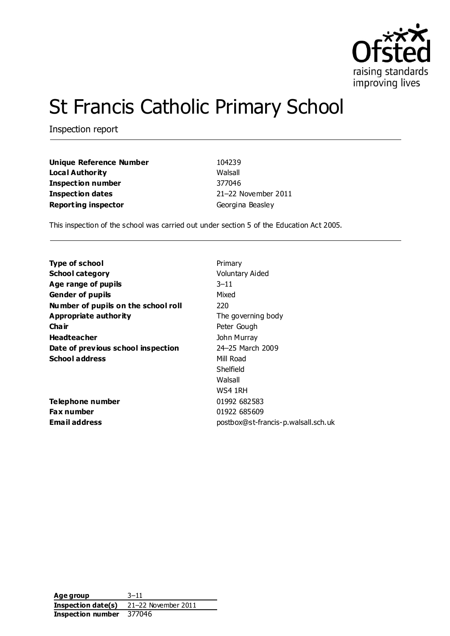

# St Francis Catholic Primary School

Inspection report

| Unique Reference Number    | 104239              |
|----------------------------|---------------------|
| <b>Local Authority</b>     | Walsall             |
| <b>Inspection number</b>   | 377046              |
| Inspection dates           | 21-22 November 2011 |
| <b>Reporting inspector</b> | Georgina Beasley    |

This inspection of the school was carried out under section 5 of the Education Act 2005.

| Primary                             |
|-------------------------------------|
| <b>Voluntary Aided</b>              |
| $3 - 11$                            |
| Mixed                               |
| 220                                 |
| The governing body                  |
| Peter Gough                         |
| John Murray                         |
| 24-25 March 2009                    |
| Mill Road                           |
| Shelfield                           |
| Walsall                             |
| WS4 1RH                             |
| 01992 682583                        |
| 01922 685609                        |
| postbox@st-francis-p.walsall.sch.uk |
|                                     |

**Age group** 3–11 **Inspection date(s)** 21–22 November 2011 **Inspection number** 377046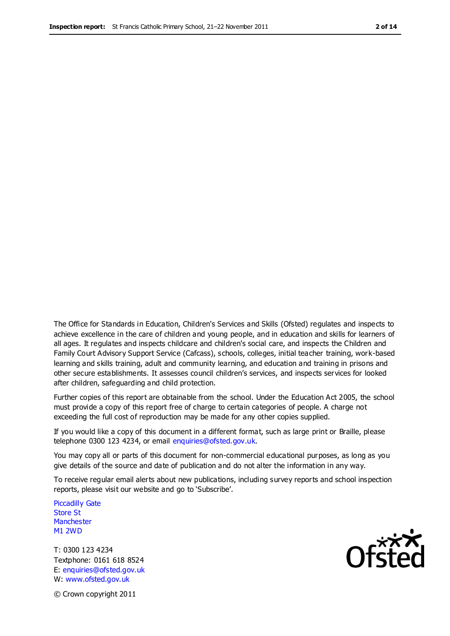The Office for Standards in Education, Children's Services and Skills (Ofsted) regulates and inspects to achieve excellence in the care of children and young people, and in education and skills for learners of all ages. It regulates and inspects childcare and children's social care, and inspects the Children and Family Court Advisory Support Service (Cafcass), schools, colleges, initial teacher training, work-based learning and skills training, adult and community learning, and education and training in prisons and other secure establishments. It assesses council children's services, and inspects services for looked after children, safeguarding and child protection.

Further copies of this report are obtainable from the school. Under the Education Act 2005, the school must provide a copy of this report free of charge to certain categories of people. A charge not exceeding the full cost of reproduction may be made for any other copies supplied.

If you would like a copy of this document in a different format, such as large print or Braille, please telephone 0300 123 4234, or email enquiries@ofsted.gov.uk.

You may copy all or parts of this document for non-commercial educational purposes, as long as you give details of the source and date of publication and do not alter the information in any way.

To receive regular email alerts about new publications, including survey reports and school inspection reports, please visit our website and go to 'Subscribe'.

Piccadilly Gate Store St **Manchester** M1 2WD

T: 0300 123 4234 Textphone: 0161 618 8524 E: enquiries@ofsted.gov.uk W: www.ofsted.gov.uk

**Ofsted** 

© Crown copyright 2011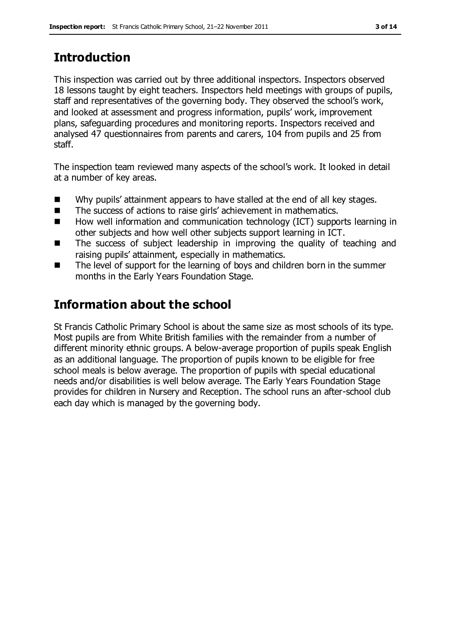# **Introduction**

This inspection was carried out by three additional inspectors. Inspectors observed 18 lessons taught by eight teachers. Inspectors held meetings with groups of pupils, staff and representatives of the governing body. They observed the school's work, and looked at assessment and progress information, pupils' work, improvement plans, safeguarding procedures and monitoring reports. Inspectors received and analysed 47 questionnaires from parents and carers, 104 from pupils and 25 from staff.

The inspection team reviewed many aspects of the school's work. It looked in detail at a number of key areas.

- Why pupils' attainment appears to have stalled at the end of all key stages.
- The success of actions to raise girls' achievement in mathematics.
- How well information and communication technology (ICT) supports learning in other subjects and how well other subjects support learning in ICT.
- The success of subject leadership in improving the quality of teaching and raising pupils' attainment, especially in mathematics.
- The level of support for the learning of boys and children born in the summer months in the Early Years Foundation Stage.

# **Information about the school**

St Francis Catholic Primary School is about the same size as most schools of its type. Most pupils are from White British families with the remainder from a number of different minority ethnic groups. A below-average proportion of pupils speak English as an additional language. The proportion of pupils known to be eligible for free school meals is below average. The proportion of pupils with special educational needs and/or disabilities is well below average. The Early Years Foundation Stage provides for children in Nursery and Reception. The school runs an after-school club each day which is managed by the governing body.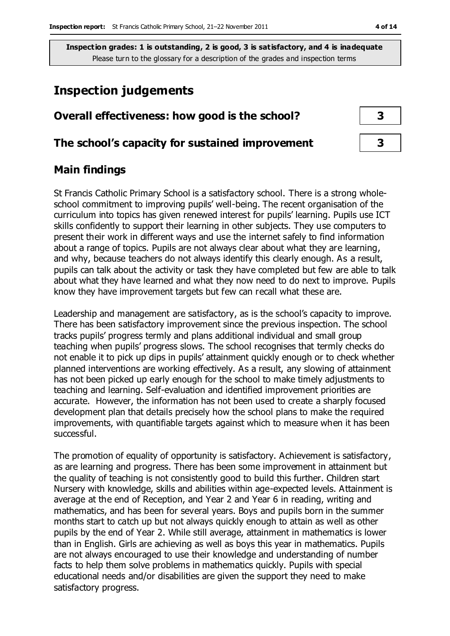# **Inspection judgements**

# **Overall effectiveness: how good is the school? 3**

### **The school's capacity for sustained improvement 3**

## **Main findings**

St Francis Catholic Primary School is a satisfactory school. There is a strong wholeschool commitment to improving pupils' well-being. The recent organisation of the curriculum into topics has given renewed interest for pupils' learning. Pupils use ICT skills confidently to support their learning in other subjects. They use computers to present their work in different ways and use the internet safely to find information about a range of topics. Pupils are not always clear about what they are learning, and why, because teachers do not always identify this clearly enough. As a result, pupils can talk about the activity or task they have completed but few are able to talk about what they have learned and what they now need to do next to improve. Pupils know they have improvement targets but few can recall what these are.

Leadership and management are satisfactory, as is the school's capacity to improve. There has been satisfactory improvement since the previous inspection. The school tracks pupils' progress termly and plans additional individual and small group teaching when pupils' progress slows. The school recognises that termly checks do not enable it to pick up dips in pupils' attainment quickly enough or to check whether planned interventions are working effectively. As a result, any slowing of attainment has not been picked up early enough for the school to make timely adjustments to teaching and learning. Self-evaluation and identified improvement priorities are accurate. However, the information has not been used to create a sharply focused development plan that details precisely how the school plans to make the required improvements, with quantifiable targets against which to measure when it has been successful.

The promotion of equality of opportunity is satisfactory. Achievement is satisfactory, as are learning and progress. There has been some improvement in attainment but the quality of teaching is not consistently good to build this further. Children start Nursery with knowledge, skills and abilities within age-expected levels. Attainment is average at the end of Reception, and Year 2 and Year 6 in reading, writing and mathematics, and has been for several years. Boys and pupils born in the summer months start to catch up but not always quickly enough to attain as well as other pupils by the end of Year 2. While still average, attainment in mathematics is lower than in English. Girls are achieving as well as boys this year in mathematics. Pupils are not always encouraged to use their knowledge and understanding of number facts to help them solve problems in mathematics quickly. Pupils with special educational needs and/or disabilities are given the support they need to make satisfactory progress.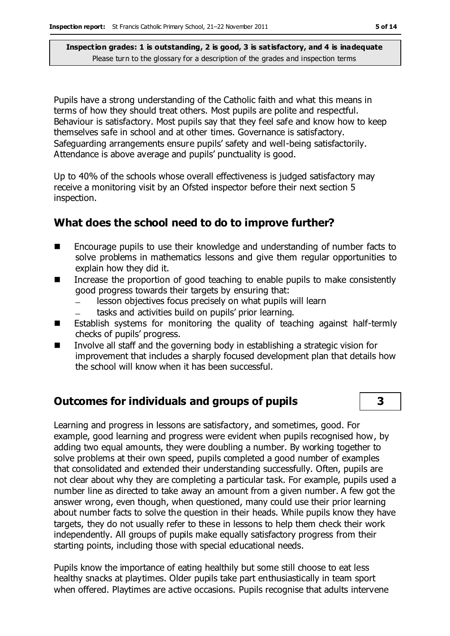Pupils have a strong understanding of the Catholic faith and what this means in terms of how they should treat others. Most pupils are polite and respectful. Behaviour is satisfactory. Most pupils say that they feel safe and know how to keep themselves safe in school and at other times. Governance is satisfactory. Safeguarding arrangements ensure pupils' safety and well-being satisfactorily. Attendance is above average and pupils' punctuality is good.

Up to 40% of the schools whose overall effectiveness is judged satisfactory may receive a monitoring visit by an Ofsted inspector before their next section 5 inspection.

## **What does the school need to do to improve further?**

- Encourage pupils to use their knowledge and understanding of number facts to solve problems in mathematics lessons and give them regular opportunities to explain how they did it.
- Increase the proportion of good teaching to enable pupils to make consistently good progress towards their targets by ensuring that:
	- lesson objectives focus precisely on what pupils will learn
	- tasks and activities build on pupils' prior learning.
- **E** Establish systems for monitoring the quality of teaching against half-termly checks of pupils' progress.
- Involve all staff and the governing body in establishing a strategic vision for improvement that includes a sharply focused development plan that details how the school will know when it has been successful.

# **Outcomes for individuals and groups of pupils 3**

Learning and progress in lessons are satisfactory, and sometimes, good. For example, good learning and progress were evident when pupils recognised how, by adding two equal amounts, they were doubling a number. By working together to solve problems at their own speed, pupils completed a good number of examples that consolidated and extended their understanding successfully. Often, pupils are not clear about why they are completing a particular task. For example, pupils used a number line as directed to take away an amount from a given number. A few got the answer wrong, even though, when questioned, many could use their prior learning about number facts to solve the question in their heads. While pupils know they have targets, they do not usually refer to these in lessons to help them check their work independently. All groups of pupils make equally satisfactory progress from their starting points, including those with special educational needs.

Pupils know the importance of eating healthily but some still choose to eat less healthy snacks at playtimes. Older pupils take part enthusiastically in team sport when offered. Playtimes are active occasions. Pupils recognise that adults intervene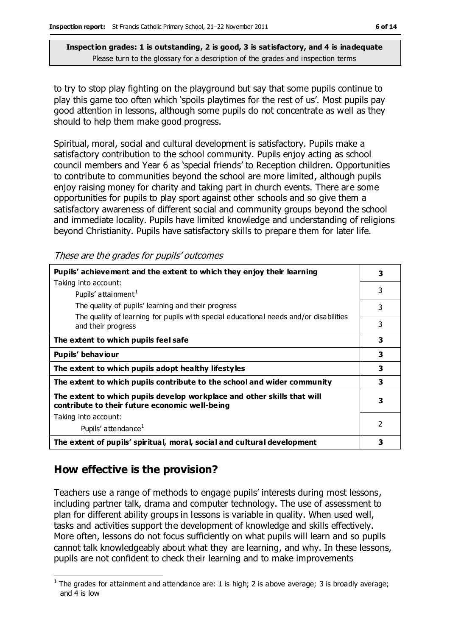to try to stop play fighting on the playground but say that some pupils continue to play this game too often which 'spoils playtimes for the rest of us'. Most pupils pay good attention in lessons, although some pupils do not concentrate as well as they should to help them make good progress.

Spiritual, moral, social and cultural development is satisfactory. Pupils make a satisfactory contribution to the school community. Pupils enjoy acting as school council members and Year 6 as 'special friends' to Reception children. Opportunities to contribute to communities beyond the school are more limited, although pupils enjoy raising money for charity and taking part in church events. There are some opportunities for pupils to play sport against other schools and so give them a satisfactory awareness of different social and community groups beyond the school and immediate locality. Pupils have limited knowledge and understanding of religions beyond Christianity. Pupils have satisfactory skills to prepare them for later life.

These are the grades for pupils' outcomes

| Pupils' achievement and the extent to which they enjoy their learning                                                     |                          |
|---------------------------------------------------------------------------------------------------------------------------|--------------------------|
| Taking into account:                                                                                                      |                          |
| Pupils' attainment <sup>1</sup>                                                                                           | 3                        |
| The quality of pupils' learning and their progress                                                                        | 3                        |
| The quality of learning for pupils with special educational needs and/or disabilities<br>and their progress               | 3                        |
| The extent to which pupils feel safe                                                                                      | 3                        |
| Pupils' behaviour                                                                                                         | 3                        |
| The extent to which pupils adopt healthy lifestyles                                                                       | 3                        |
| The extent to which pupils contribute to the school and wider community                                                   | 3                        |
| The extent to which pupils develop workplace and other skills that will<br>contribute to their future economic well-being | 3                        |
| Taking into account:                                                                                                      |                          |
| Pupils' attendance <sup>1</sup>                                                                                           | $\overline{\phantom{a}}$ |
| The extent of pupils' spiritual, moral, social and cultural development                                                   | 3                        |

# **How effective is the provision?**

Teachers use a range of methods to engage pupils' interests during most lessons, including partner talk, drama and computer technology. The use of assessment to plan for different ability groups in lessons is variable in quality. When used well, tasks and activities support the development of knowledge and skills effectively. More often, lessons do not focus sufficiently on what pupils will learn and so pupils cannot talk knowledgeably about what they are learning, and why. In these lessons, pupils are not confident to check their learning and to make improvements

 $\overline{a}$ <sup>1</sup> The grades for attainment and attendance are: 1 is high; 2 is above average; 3 is broadly average; and 4 is low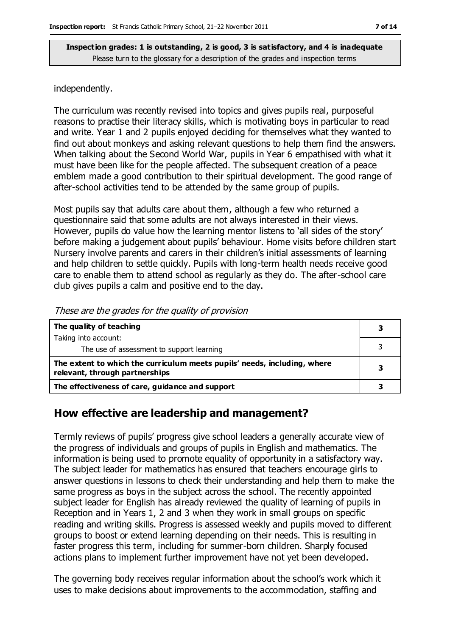#### independently.

The curriculum was recently revised into topics and gives pupils real, purposeful reasons to practise their literacy skills, which is motivating boys in particular to read and write. Year 1 and 2 pupils enjoyed deciding for themselves what they wanted to find out about monkeys and asking relevant questions to help them find the answers. When talking about the Second World War, pupils in Year 6 empathised with what it must have been like for the people affected. The subsequent creation of a peace emblem made a good contribution to their spiritual development. The good range of after-school activities tend to be attended by the same group of pupils.

Most pupils say that adults care about them, although a few who returned a questionnaire said that some adults are not always interested in their views. However, pupils do value how the learning mentor listens to 'all sides of the story' before making a judgement about pupils' behaviour. Home visits before children start Nursery involve parents and carers in their children's initial assessments of learning and help children to settle quickly. Pupils with long-term health needs receive good care to enable them to attend school as regularly as they do. The after-school care club gives pupils a calm and positive end to the day.

| The quality of teaching                                                                                    |  |
|------------------------------------------------------------------------------------------------------------|--|
| Taking into account:                                                                                       |  |
| The use of assessment to support learning                                                                  |  |
| The extent to which the curriculum meets pupils' needs, including, where<br>relevant, through partnerships |  |
| The effectiveness of care, guidance and support                                                            |  |

These are the grades for the quality of provision

### **How effective are leadership and management?**

Termly reviews of pupils' progress give school leaders a generally accurate view of the progress of individuals and groups of pupils in English and mathematics. The information is being used to promote equality of opportunity in a satisfactory way. The subject leader for mathematics has ensured that teachers encourage girls to answer questions in lessons to check their understanding and help them to make the same progress as boys in the subject across the school. The recently appointed subject leader for English has already reviewed the quality of learning of pupils in Reception and in Years 1, 2 and 3 when they work in small groups on specific reading and writing skills. Progress is assessed weekly and pupils moved to different groups to boost or extend learning depending on their needs. This is resulting in faster progress this term, including for summer-born children. Sharply focused actions plans to implement further improvement have not yet been developed.

The governing body receives regular information about the school's work which it uses to make decisions about improvements to the accommodation, staffing and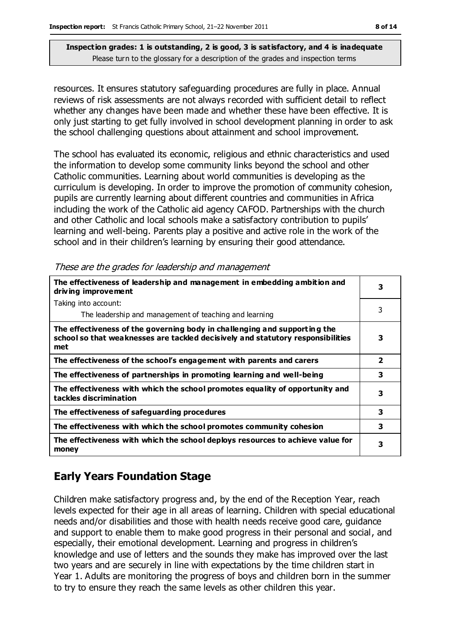resources. It ensures statutory safeguarding procedures are fully in place. Annual reviews of risk assessments are not always recorded with sufficient detail to reflect whether any changes have been made and whether these have been effective. It is only just starting to get fully involved in school development planning in order to ask the school challenging questions about attainment and school improvement.

The school has evaluated its economic, religious and ethnic characteristics and used the information to develop some community links beyond the school and other Catholic communities. Learning about world communities is developing as the curriculum is developing. In order to improve the promotion of community cohesion, pupils are currently learning about different countries and communities in Africa including the work of the Catholic aid agency CAFOD. Partnerships with the church and other Catholic and local schools make a satisfactory contribution to pupils' learning and well-being. Parents play a positive and active role in the work of the school and in their children's learning by ensuring their good attendance.

| The effectiveness of leadership and management in embedding ambition and<br>driving improvement                                                                     |                         |
|---------------------------------------------------------------------------------------------------------------------------------------------------------------------|-------------------------|
| Taking into account:                                                                                                                                                |                         |
| The leadership and management of teaching and learning                                                                                                              |                         |
| The effectiveness of the governing body in challenging and supporting the<br>school so that weaknesses are tackled decisively and statutory responsibilities<br>met | 3                       |
| The effectiveness of the school's engagement with parents and carers                                                                                                | $\overline{\mathbf{2}}$ |
| The effectiveness of partnerships in promoting learning and well-being                                                                                              | 3                       |
| The effectiveness with which the school promotes equality of opportunity and<br>tackles discrimination                                                              | 3                       |
| The effectiveness of safeguarding procedures                                                                                                                        | 3                       |
| The effectiveness with which the school promotes community cohesion                                                                                                 |                         |
| The effectiveness with which the school deploys resources to achieve value for<br>money                                                                             | 3                       |

#### These are the grades for leadership and management

# **Early Years Foundation Stage**

Children make satisfactory progress and, by the end of the Reception Year, reach levels expected for their age in all areas of learning. Children with special educational needs and/or disabilities and those with health needs receive good care, guidance and support to enable them to make good progress in their personal and social, and especially, their emotional development. Learning and progress in children's knowledge and use of letters and the sounds they make has improved over the last two years and are securely in line with expectations by the time children start in Year 1. Adults are monitoring the progress of boys and children born in the summer to try to ensure they reach the same levels as other children this year.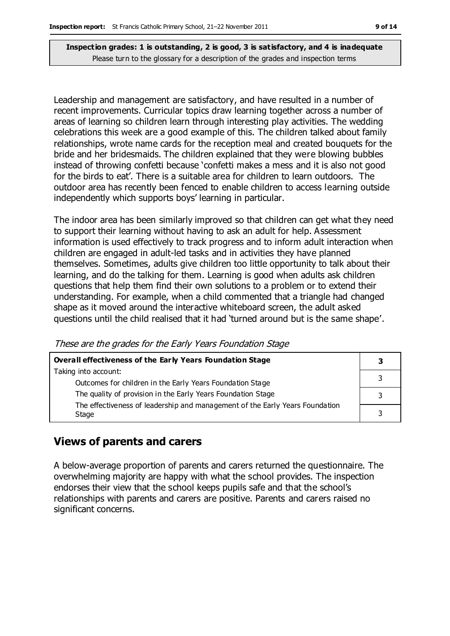Leadership and management are satisfactory, and have resulted in a number of recent improvements. Curricular topics draw learning together across a number of areas of learning so children learn through interesting play activities. The wedding celebrations this week are a good example of this. The children talked about family relationships, wrote name cards for the reception meal and created bouquets for the bride and her bridesmaids. The children explained that they were blowing bubbles instead of throwing confetti because 'confetti makes a mess and it is also not good for the birds to eat'. There is a suitable area for children to learn outdoors. The outdoor area has recently been fenced to enable children to access learning outside independently which supports boys' learning in particular.

The indoor area has been similarly improved so that children can get what they need to support their learning without having to ask an adult for help. Assessment information is used effectively to track progress and to inform adult interaction when children are engaged in adult-led tasks and in activities they have planned themselves. Sometimes, adults give children too little opportunity to talk about their learning, and do the talking for them. Learning is good when adults ask children questions that help them find their own solutions to a problem or to extend their understanding. For example, when a child commented that a triangle had changed shape as it moved around the interactive whiteboard screen, the adult asked questions until the child realised that it had 'turned around but is the same shape'.

| Overall effectiveness of the Early Years Foundation Stage                                                                 |  |  |
|---------------------------------------------------------------------------------------------------------------------------|--|--|
| Taking into account:                                                                                                      |  |  |
| Outcomes for children in the Early Years Foundation Stage<br>The quality of provision in the Early Years Foundation Stage |  |  |
| The effectiveness of leadership and management of the Early Years Foundation                                              |  |  |
| Stage                                                                                                                     |  |  |

#### These are the grades for the Early Years Foundation Stage

### **Views of parents and carers**

A below-average proportion of parents and carers returned the questionnaire. The overwhelming majority are happy with what the school provides. The inspection endorses their view that the school keeps pupils safe and that the school's relationships with parents and carers are positive. Parents and carers raised no significant concerns.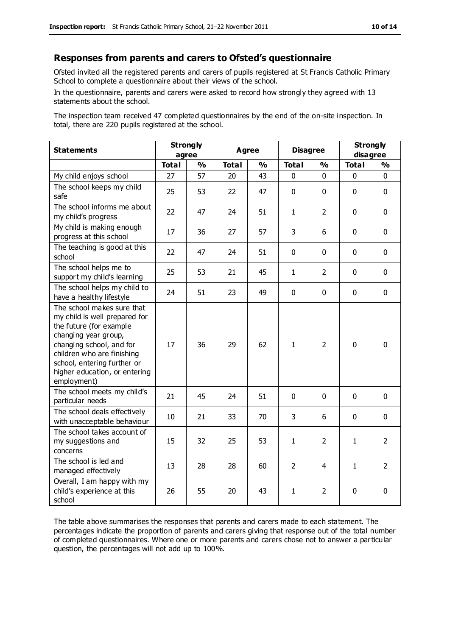#### **Responses from parents and carers to Ofsted's questionnaire**

Ofsted invited all the registered parents and carers of pupils registered at St Francis Catholic Primary School to complete a questionnaire about their views of the school.

In the questionnaire, parents and carers were asked to record how strongly they agreed with 13 statements about the school.

The inspection team received 47 completed questionnaires by the end of the on-site inspection. In total, there are 220 pupils registered at the school.

| <b>Statements</b>                                                                                                                                                                                                                                       | <b>Strongly</b><br>agree |               | <b>Agree</b><br><b>Disagree</b> |               |                | <b>Strongly</b><br>disagree |              |                |
|---------------------------------------------------------------------------------------------------------------------------------------------------------------------------------------------------------------------------------------------------------|--------------------------|---------------|---------------------------------|---------------|----------------|-----------------------------|--------------|----------------|
|                                                                                                                                                                                                                                                         | <b>Total</b>             | $\frac{1}{2}$ | <b>Total</b>                    | $\frac{1}{2}$ | <b>Total</b>   | $\frac{1}{2}$               | <b>Total</b> | $\frac{1}{2}$  |
| My child enjoys school                                                                                                                                                                                                                                  | 27                       | 57            | 20                              | 43            | 0              | $\mathbf 0$                 | $\mathbf 0$  | $\mathbf 0$    |
| The school keeps my child<br>safe                                                                                                                                                                                                                       | 25                       | 53            | 22                              | 47            | $\mathbf 0$    | $\mathbf 0$                 | $\mathbf 0$  | $\mathbf 0$    |
| The school informs me about<br>my child's progress                                                                                                                                                                                                      | 22                       | 47            | 24                              | 51            | $\mathbf{1}$   | $\overline{2}$              | $\mathbf 0$  | $\mathbf 0$    |
| My child is making enough<br>progress at this school                                                                                                                                                                                                    | 17                       | 36            | 27                              | 57            | 3              | 6                           | $\mathbf 0$  | $\mathbf 0$    |
| The teaching is good at this<br>school                                                                                                                                                                                                                  | 22                       | 47            | 24                              | 51            | 0              | $\mathbf 0$                 | $\mathbf 0$  | $\mathbf 0$    |
| The school helps me to<br>support my child's learning                                                                                                                                                                                                   | 25                       | 53            | 21                              | 45            | $\mathbf{1}$   | $\overline{2}$              | $\Omega$     | $\mathbf 0$    |
| The school helps my child to<br>have a healthy lifestyle                                                                                                                                                                                                | 24                       | 51            | 23                              | 49            | $\mathbf 0$    | $\mathbf 0$                 | $\mathbf 0$  | $\mathbf 0$    |
| The school makes sure that<br>my child is well prepared for<br>the future (for example<br>changing year group,<br>changing school, and for<br>children who are finishing<br>school, entering further or<br>higher education, or entering<br>employment) | 17                       | 36            | 29                              | 62            | $\mathbf{1}$   | $\overline{2}$              | $\mathbf{0}$ | 0              |
| The school meets my child's<br>particular needs                                                                                                                                                                                                         | 21                       | 45            | 24                              | 51            | $\mathbf{0}$   | $\mathbf 0$                 | $\mathbf 0$  | $\mathbf 0$    |
| The school deals effectively<br>with unacceptable behaviour                                                                                                                                                                                             | 10                       | 21            | 33                              | 70            | 3              | 6                           | $\mathbf 0$  | $\mathbf 0$    |
| The school takes account of<br>my suggestions and<br>concerns                                                                                                                                                                                           | 15                       | 32            | 25                              | 53            | $\mathbf{1}$   | $\overline{2}$              | $\mathbf{1}$ | $\overline{2}$ |
| The school is led and<br>managed effectively                                                                                                                                                                                                            | 13                       | 28            | 28                              | 60            | $\overline{2}$ | 4                           | $\mathbf{1}$ | $\overline{2}$ |
| Overall, I am happy with my<br>child's experience at this<br>school                                                                                                                                                                                     | 26                       | 55            | 20                              | 43            | 1              | 2                           | $\mathbf 0$  | $\mathbf 0$    |

The table above summarises the responses that parents and carers made to each statement. The percentages indicate the proportion of parents and carers giving that response out of the total number of completed questionnaires. Where one or more parents and carers chose not to answer a particular question, the percentages will not add up to 100%.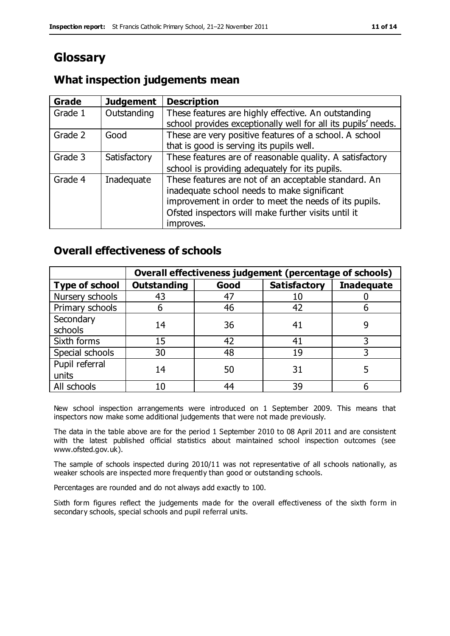# **Glossary**

# **What inspection judgements mean**

| <b>Grade</b> | <b>Judgement</b> | <b>Description</b>                                                                                                                                                                                                               |
|--------------|------------------|----------------------------------------------------------------------------------------------------------------------------------------------------------------------------------------------------------------------------------|
| Grade 1      | Outstanding      | These features are highly effective. An outstanding<br>school provides exceptionally well for all its pupils' needs.                                                                                                             |
| Grade 2      | Good             | These are very positive features of a school. A school<br>that is good is serving its pupils well.                                                                                                                               |
| Grade 3      | Satisfactory     | These features are of reasonable quality. A satisfactory<br>school is providing adequately for its pupils.                                                                                                                       |
| Grade 4      | Inadequate       | These features are not of an acceptable standard. An<br>inadequate school needs to make significant<br>improvement in order to meet the needs of its pupils.<br>Ofsted inspectors will make further visits until it<br>improves. |

## **Overall effectiveness of schools**

|                         | Overall effectiveness judgement (percentage of schools) |      |                     |                   |
|-------------------------|---------------------------------------------------------|------|---------------------|-------------------|
| <b>Type of school</b>   | <b>Outstanding</b>                                      | Good | <b>Satisfactory</b> | <b>Inadequate</b> |
| Nursery schools         | 43                                                      | 47   | 10                  |                   |
| Primary schools         | h                                                       | 46   | 42                  |                   |
| Secondary<br>schools    | 14                                                      | 36   | 41                  |                   |
| Sixth forms             | 15                                                      | 42   | 41                  | 3                 |
| Special schools         | 30                                                      | 48   | 19                  |                   |
| Pupil referral<br>units | 14                                                      | 50   | 31                  |                   |
| All schools             | 10                                                      | 44   | 39                  |                   |

New school inspection arrangements were introduced on 1 September 2009. This means that inspectors now make some additional judgements that were not made previously.

The data in the table above are for the period 1 September 2010 to 08 April 2011 and are consistent with the latest published official statistics about maintained school inspection outcomes (see www.ofsted.gov.uk).

The sample of schools inspected during 2010/11 was not representative of all schools nationally, as weaker schools are inspected more frequently than good or outstanding schools.

Percentages are rounded and do not always add exactly to 100.

Sixth form figures reflect the judgements made for the overall effectiveness of the sixth form in secondary schools, special schools and pupil referral units.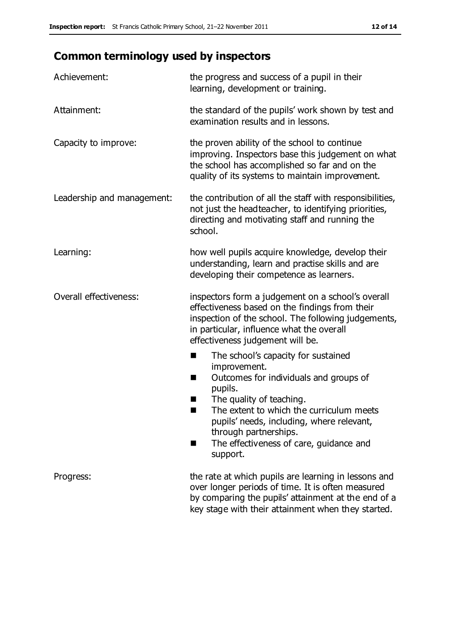# **Common terminology used by inspectors**

| Achievement:               | the progress and success of a pupil in their<br>learning, development or training.                                                                                                                                                                                                                                 |  |  |
|----------------------------|--------------------------------------------------------------------------------------------------------------------------------------------------------------------------------------------------------------------------------------------------------------------------------------------------------------------|--|--|
| Attainment:                | the standard of the pupils' work shown by test and<br>examination results and in lessons.                                                                                                                                                                                                                          |  |  |
| Capacity to improve:       | the proven ability of the school to continue<br>improving. Inspectors base this judgement on what<br>the school has accomplished so far and on the<br>quality of its systems to maintain improvement.                                                                                                              |  |  |
| Leadership and management: | the contribution of all the staff with responsibilities,<br>not just the headteacher, to identifying priorities,<br>directing and motivating staff and running the<br>school.                                                                                                                                      |  |  |
| Learning:                  | how well pupils acquire knowledge, develop their<br>understanding, learn and practise skills and are<br>developing their competence as learners.                                                                                                                                                                   |  |  |
| Overall effectiveness:     | inspectors form a judgement on a school's overall<br>effectiveness based on the findings from their<br>inspection of the school. The following judgements,<br>in particular, influence what the overall<br>effectiveness judgement will be.                                                                        |  |  |
|                            | The school's capacity for sustained<br>improvement.<br>Outcomes for individuals and groups of<br>п<br>pupils.<br>The quality of teaching.<br>The extent to which the curriculum meets<br>pupils' needs, including, where relevant,<br>through partnerships.<br>The effectiveness of care, guidance and<br>support. |  |  |
| Progress:                  | the rate at which pupils are learning in lessons and<br>over longer periods of time. It is often measured<br>by comparing the pupils' attainment at the end of a<br>key stage with their attainment when they started.                                                                                             |  |  |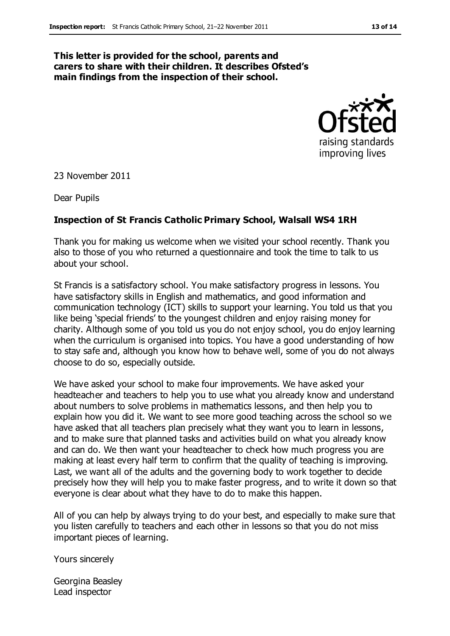#### **This letter is provided for the school, parents and carers to share with their children. It describes Ofsted's main findings from the inspection of their school.**



23 November 2011

Dear Pupils

#### **Inspection of St Francis Catholic Primary School, Walsall WS4 1RH**

Thank you for making us welcome when we visited your school recently. Thank you also to those of you who returned a questionnaire and took the time to talk to us about your school.

St Francis is a satisfactory school. You make satisfactory progress in lessons. You have satisfactory skills in English and mathematics, and good information and communication technology (ICT) skills to support your learning. You told us that you like being 'special friends' to the youngest children and enjoy raising money for charity. Although some of you told us you do not enjoy school, you do enjoy learning when the curriculum is organised into topics. You have a good understanding of how to stay safe and, although you know how to behave well, some of you do not always choose to do so, especially outside.

We have asked your school to make four improvements. We have asked your headteacher and teachers to help you to use what you already know and understand about numbers to solve problems in mathematics lessons, and then help you to explain how you did it. We want to see more good teaching across the school so we have asked that all teachers plan precisely what they want you to learn in lessons, and to make sure that planned tasks and activities build on what you already know and can do. We then want your headteacher to check how much progress you are making at least every half term to confirm that the quality of teaching is improving. Last, we want all of the adults and the governing body to work together to decide precisely how they will help you to make faster progress, and to write it down so that everyone is clear about what they have to do to make this happen.

All of you can help by always trying to do your best, and especially to make sure that you listen carefully to teachers and each other in lessons so that you do not miss important pieces of learning.

Yours sincerely

Georgina Beasley Lead inspector